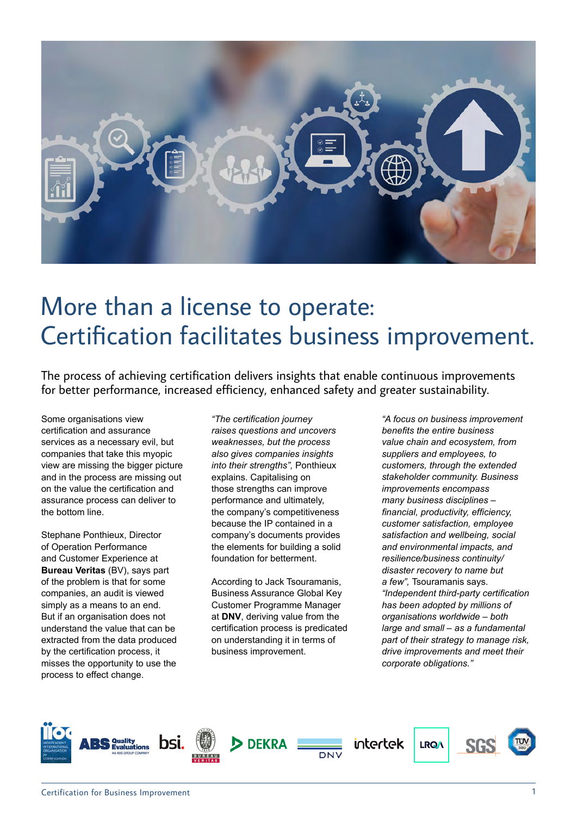

# More than a license to operate: Certification facilitates business improvement.

The process of achieving certification delivers insights that enable continuous improvements for better performance, increased efficiency, enhanced safety and greater sustainability.

Some organisations view certification and assurance services as a necessary evil, but companies that take this myopic view are missing the bigger picture and in the process are missing out on the value the certification and assurance process can deliver to the bottom line.

Stephane Ponthieux, Director of Operation Performance and Customer Experience at **Bureau Veritas** (BV), says part of the problem is that for some companies, an audit is viewed simply as a means to an end. But if an organisation does not understand the value that can be extracted from the data produced by the certification process, it misses the opportunity to use the process to effect change.

*"The certification journey raises questions and uncovers weaknesses, but the process also gives companies insights into their strengths",* Ponthieux explains. Capitalising on those strengths can improve performance and ultimately, the company's competitiveness because the IP contained in a company's documents provides the elements for building a solid foundation for betterment.

According to Jack Tsouramanis, Business Assurance Global Key Customer Programme Manager at **DNV**, deriving value from the certification process is predicated on understanding it in terms of business improvement.

*"A focus on business improvement benefits the entire business value chain and ecosystem, from suppliers and employees, to customers, through the extended stakeholder community. Business improvements encompass many business disciplines – financial, productivity, efficiency, customer satisfaction, employee satisfaction and wellbeing, social and environmental impacts, and resilience/business continuity/ disaster recovery to name but a few",* Tsouramanis says. *"Independent third-party certification has been adopted by millions of organisations worldwide – both large and small – as a fundamental part of their strategy to manage risk, drive improvements and meet their corporate obligations."*

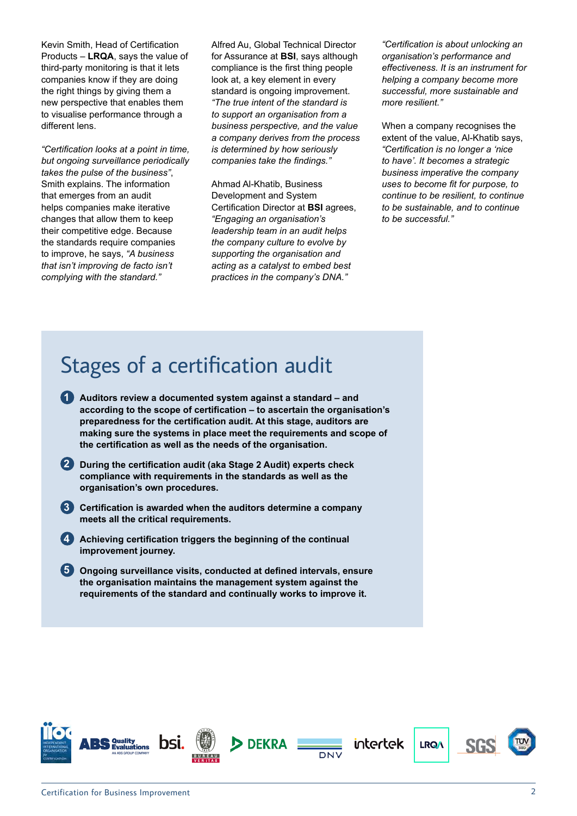Kevin Smith, Head of Certification Products – **LRQA**, says the value of third-party monitoring is that it lets companies know if they are doing the right things by giving them a new perspective that enables them to visualise performance through a different lens.

*"Certification looks at a point in time, but ongoing surveillance periodically takes the pulse of the business"*, Smith explains. The information that emerges from an audit helps companies make iterative changes that allow them to keep their competitive edge. Because the standards require companies to improve, he says, *"A business that isn't improving de facto isn't complying with the standard."*

Alfred Au, Global Technical Director for Assurance at **BSI**, says although compliance is the first thing people look at, a key element in every standard is ongoing improvement. *"The true intent of the standard is to support an organisation from a business perspective, and the value a company derives from the process is determined by how seriously companies take the findings."*

Ahmad Al-Khatib, Business Development and System Certification Director at **BSI** agrees, *"Engaging an organisation's leadership team in an audit helps the company culture to evolve by supporting the organisation and acting as a catalyst to embed best practices in the company's DNA."* 

*"Certification is about unlocking an organisation's performance and effectiveness. It is an instrument for helping a company become more successful, more sustainable and more resilient."*

When a company recognises the extent of the value, Al-Khatib says, *"Certification is no longer a 'nice to have'. It becomes a strategic business imperative the company uses to become fit for purpose, to continue to be resilient, to continue to be sustainable, and to continue to be successful."*

## Stages of a certification audit

- **Auditors review a documented system against a standard and 1 according to the scope of certification – to ascertain the organisation's preparedness for the certification audit. At this stage, auditors are making sure the systems in place meet the requirements and scope of the certification as well as the needs of the organisation.**
- **During the certification audit (aka Stage 2 Audit) experts check 2 compliance with requirements in the standards as well as the organisation's own procedures.**
- **Certification is awarded when the auditors determine a company 3 meets all the critical requirements.**
- **Achieving certification triggers the beginning of the continual 4 improvement journey.**
- **Ongoing surveillance visits, conducted at defined intervals, ensure 5the organisation maintains the management system against the requirements of the standard and continually works to improve it.**

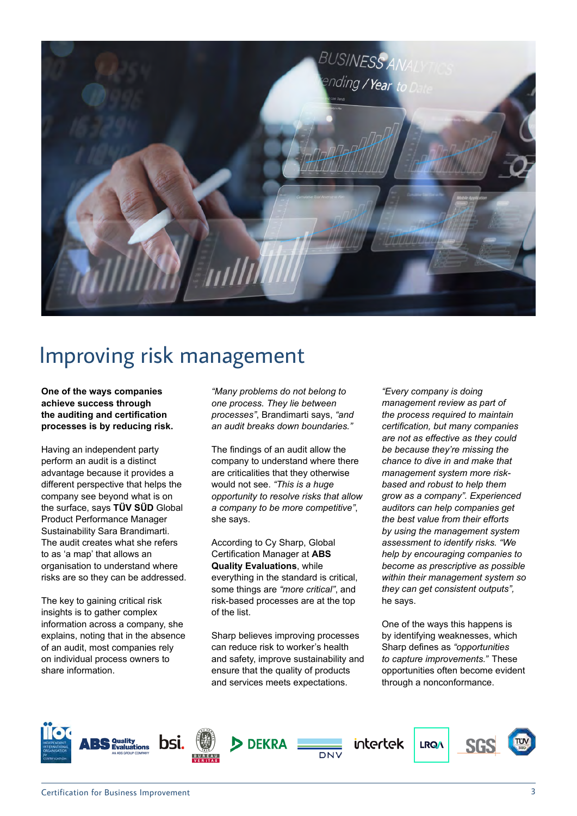

#### Improving risk management

**One of the ways companies achieve success through the auditing and certification processes is by reducing risk.** 

Having an independent party perform an audit is a distinct advantage because it provides a different perspective that helps the company see beyond what is on the surface, says **TÜV SÜD** Global Product Performance Manager Sustainability Sara Brandimarti. The audit creates what she refers to as 'a map' that allows an organisation to understand where risks are so they can be addressed.

The key to gaining critical risk insights is to gather complex information across a company, she explains, noting that in the absence of an audit, most companies rely on individual process owners to share information.

*"Many problems do not belong to one process. They lie between processes"*, Brandimarti says, *"and an audit breaks down boundaries."* 

The findings of an audit allow the company to understand where there are criticalities that they otherwise would not see. *"This is a huge opportunity to resolve risks that allow a company to be more competitive"*, she says.

According to Cy Sharp, Global Certification Manager at **ABS Quality Evaluations**, while everything in the standard is critical, some things are *"more critical"*, and risk-based processes are at the top of the list.

Sharp believes improving processes can reduce risk to worker's health and safety, improve sustainability and ensure that the quality of products and services meets expectations.

*"Every company is doing management review as part of the process required to maintain certification, but many companies are not as effective as they could be because they're missing the chance to dive in and make that management system more riskbased and robust to help them grow as a company". Experienced auditors can help companies get the best value from their efforts by using the management system assessment to identify risks. "We help by encouraging companies to become as prescriptive as possible within their management system so they can get consistent outputs",*  he says.

One of the ways this happens is by identifying weaknesses, which Sharp defines as *"opportunities to capture improvements."* These opportunities often become evident through a nonconformance.

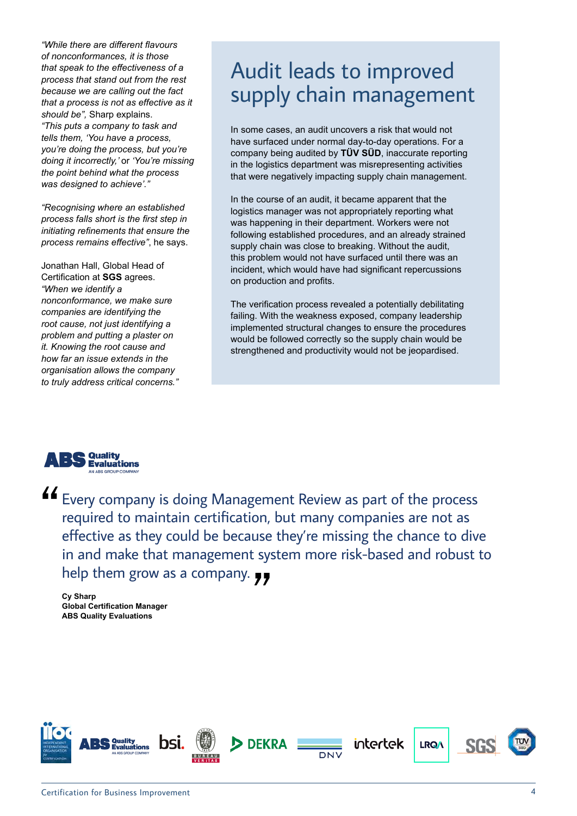*"While there are different flavours of nonconformances, it is those that speak to the effectiveness of a process that stand out from the rest because we are calling out the fact that a process is not as effective as it should be",* Sharp explains. *"This puts a company to task and tells them, 'You have a process, you're doing the process, but you're doing it incorrectly,'* or *'You're missing the point behind what the process was designed to achieve'."*

*"Recognising where an established process falls short is the first step in initiating refinements that ensure the process remains effective"*, he says.

Jonathan Hall, Global Head of Certification at **SGS** agrees. *"When we identify a nonconformance, we make sure companies are identifying the root cause, not just identifying a problem and putting a plaster on it. Knowing the root cause and how far an issue extends in the organisation allows the company to truly address critical concerns."*

#### Audit leads to improved supply chain management

In some cases, an audit uncovers a risk that would not have surfaced under normal day-to-day operations. For a company being audited by **TÜV SÜD**, inaccurate reporting in the logistics department was misrepresenting activities that were negatively impacting supply chain management.

In the course of an audit, it became apparent that the logistics manager was not appropriately reporting what was happening in their department. Workers were not following established procedures, and an already strained supply chain was close to breaking. Without the audit, this problem would not have surfaced until there was an incident, which would have had significant repercussions on production and profits.

The verification process revealed a potentially debilitating failing. With the weakness exposed, company leadership implemented structural changes to ensure the procedures would be followed correctly so the supply chain would be strengthened and productivity would not be jeopardised.



LEVERY company is doing Management Review as part of the process required to maintain certification, but many companies are not as effective as they could be because they're missing the chance to dive in and make that management system more risk-based and robust to help them grow as a company.

**Cy Sharp Global Certification Manager ABS Quality Evaluations**

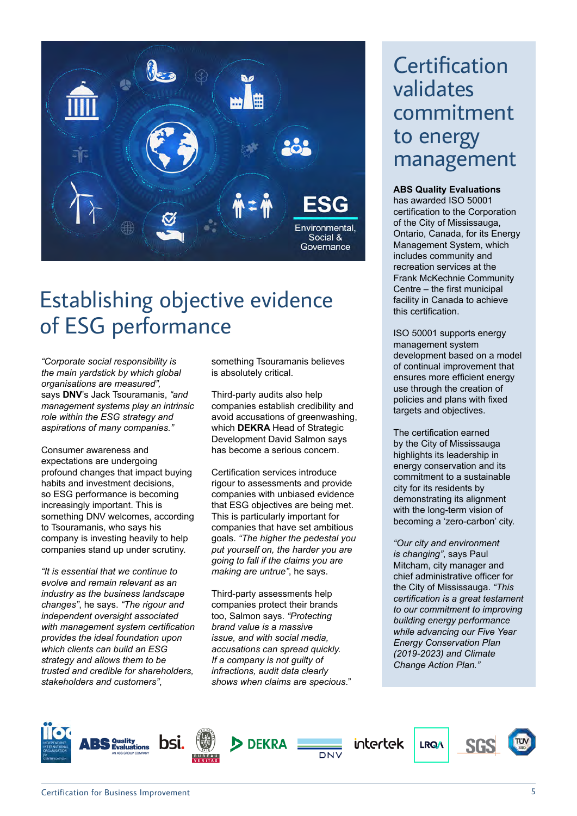

## Establishing objective evidence of ESG performance

*"Corporate social responsibility is the main yardstick by which global organisations are measured",* says **DNV**'s Jack Tsouramanis, *"and management systems play an intrinsic role within the ESG strategy and aspirations of many companies."*

Consumer awareness and expectations are undergoing profound changes that impact buying habits and investment decisions, so ESG performance is becoming increasingly important. This is something DNV welcomes, according to Tsouramanis, who says his company is investing heavily to help companies stand up under scrutiny.

*"It is essential that we continue to evolve and remain relevant as an industry as the business landscape changes"*, he says. *"The rigour and independent oversight associated with management system certification provides the ideal foundation upon which clients can build an ESG strategy and allows them to be trusted and credible for shareholders, stakeholders and customers"*,

something Tsouramanis believes is absolutely critical.

Third-party audits also help companies establish credibility and avoid accusations of greenwashing, which **DEKRA** Head of Strategic Development David Salmon says has become a serious concern.

Certification services introduce rigour to assessments and provide companies with unbiased evidence that ESG objectives are being met. This is particularly important for companies that have set ambitious goals. *"The higher the pedestal you put yourself on, the harder you are going to fall if the claims you are making are untrue"*, he says.

Third-party assessments help companies protect their brands too, Salmon says. *"Protecting brand value is a massive issue, and with social media, accusations can spread quickly. If a company is not guilty of infractions, audit data clearly shows when claims are specious*."

#### **Certification** validates commitment to energy management

**ABS Quality Evaluations**  has awarded ISO 50001 certification to the Corporation of the City of Mississauga, Ontario, Canada, for its Energy Management System, which includes community and recreation services at the Frank McKechnie Community Centre – the first municipal facility in Canada to achieve this certification.

ISO 50001 supports energy management system development based on a model of continual improvement that ensures more efficient energy use through the creation of policies and plans with fixed targets and objectives.

The certification earned by the City of Mississauga highlights its leadership in energy conservation and its commitment to a sustainable city for its residents by demonstrating its alignment with the long-term vision of becoming a 'zero-carbon' city.

*"Our city and environment is changing"*, says Paul Mitcham, city manager and chief administrative officer for the City of Mississauga. *"This certification is a great testament to our commitment to improving building energy performance while advancing our Five Year Energy Conservation Plan (2019-2023) and Climate Change Action Plan."*

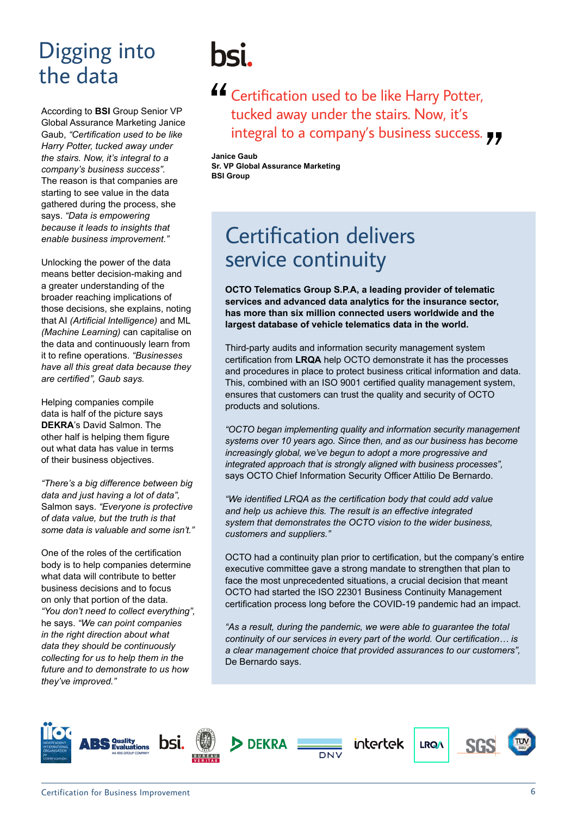## Digging into the data

According to **BSI** Group Senior VP Global Assurance Marketing Janice Gaub, *"Certification used to be like Harry Potter, tucked away under the stairs. Now, it's integral to a company's business success".*  The reason is that companies are starting to see value in the data gathered during the process, she says. *"Data is empowering because it leads to insights that enable business improvement."*

Unlocking the power of the data means better decision-making and a greater understanding of the broader reaching implications of those decisions, she explains, noting that AI *(Artificial Intelligence)* and ML *(Machine Learning)* can capitalise on the data and continuously learn from it to refine operations. *"Businesses have all this great data because they are certified", Gaub says.*

Helping companies compile data is half of the picture says **DEKRA**'s David Salmon. The other half is helping them figure out what data has value in terms of their business objectives.

*"There's a big difference between big data and just having a lot of data",*  Salmon says. *"Everyone is protective of data value, but the truth is that some data is valuable and some isn't."*

One of the roles of the certification body is to help companies determine what data will contribute to better business decisions and to focus on only that portion of the data. *"You don't need to collect everything",*  he says. *"We can point companies in the right direction about what data they should be continuously collecting for us to help them in the future and to demonstrate to us how they've improved."*

# hsi.

**44** Certification used to be like Harry Potter, tucked away under the stairs. Now, it's integral to a company's business success.

**Janice Gaub Sr. VP Global Assurance Marketing BSI Group**

#### Certification delivers service continuity

**OCTO Telematics Group S.P.A, a leading provider of telematic services and advanced data analytics for the insurance sector, has more than six million connected users worldwide and the largest database of vehicle telematics data in the world.**

Third-party audits and information security management system certification from **LRQA** help OCTO demonstrate it has the processes and procedures in place to protect business critical information and data. This, combined with an ISO 9001 certified quality management system, ensures that customers can trust the quality and security of OCTO products and solutions.

*"OCTO began implementing quality and information security management systems over 10 years ago. Since then, and as our business has become increasingly global, we've begun to adopt a more progressive and integrated approach that is strongly aligned with business processes",*  says OCTO Chief Information Security Officer Attilio De Bernardo.

*"We identified LRQA as the certification body that could add value and help us achieve this. The result is an effective integrated system that demonstrates the OCTO vision to the wider business, customers and suppliers."*

OCTO had a continuity plan prior to certification, but the company's entire executive committee gave a strong mandate to strengthen that plan to face the most unprecedented situations, a crucial decision that meant OCTO had started the ISO 22301 Business Continuity Management certification process long before the COVID-19 pandemic had an impact.

*"As a result, during the pandemic, we were able to guarantee the total continuity of our services in every part of the world. Our certification… is a clear management choice that provided assurances to our customers",* De Bernardo says.

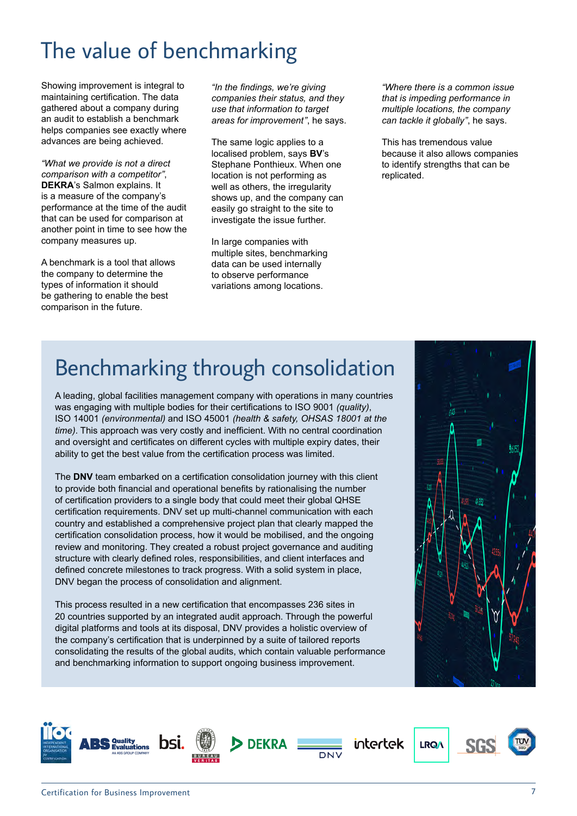# The value of benchmarking

Showing improvement is integral to maintaining certification. The data gathered about a company during an audit to establish a benchmark helps companies see exactly where advances are being achieved.

*"What we provide is not a direct comparison with a competitor"*, **DEKRA**'s Salmon explains. It is a measure of the company's performance at the time of the audit that can be used for comparison at another point in time to see how the company measures up.

A benchmark is a tool that allows the company to determine the types of information it should be gathering to enable the best comparison in the future.

*"In the findings, we're giving companies their status, and they use that information to target areas for improvement"*, he says.

The same logic applies to a localised problem, says **BV**'s Stephane Ponthieux. When one location is not performing as well as others, the irregularity shows up, and the company can easily go straight to the site to investigate the issue further.

In large companies with multiple sites, benchmarking data can be used internally to observe performance variations among locations.

*"Where there is a common issue that is impeding performance in multiple locations, the company can tackle it globally"*, he says.

This has tremendous value because it also allows companies to identify strengths that can be replicated.

# Benchmarking through consolidation

A leading, global facilities management company with operations in many countries was engaging with multiple bodies for their certifications to ISO 9001 *(quality)*, ISO 14001 *(environmental)* and ISO 45001 *(health & safety, OHSAS 18001 at the time)*. This approach was very costly and inefficient. With no central coordination and oversight and certificates on different cycles with multiple expiry dates, their ability to get the best value from the certification process was limited.

The **DNV** team embarked on a certification consolidation journey with this client to provide both financial and operational benefits by rationalising the number of certification providers to a single body that could meet their global QHSE certification requirements. DNV set up multi-channel communication with each country and established a comprehensive project plan that clearly mapped the certification consolidation process, how it would be mobilised, and the ongoing review and monitoring. They created a robust project governance and auditing structure with clearly defined roles, responsibilities, and client interfaces and defined concrete milestones to track progress. With a solid system in place, DNV began the process of consolidation and alignment.

This process resulted in a new certification that encompasses 236 sites in 20 countries supported by an integrated audit approach. Through the powerful digital platforms and tools at its disposal, DNV provides a holistic overview of the company's certification that is underpinned by a suite of tailored reports consolidating the results of the global audits, which contain valuable performance and benchmarking information to support ongoing business improvement.



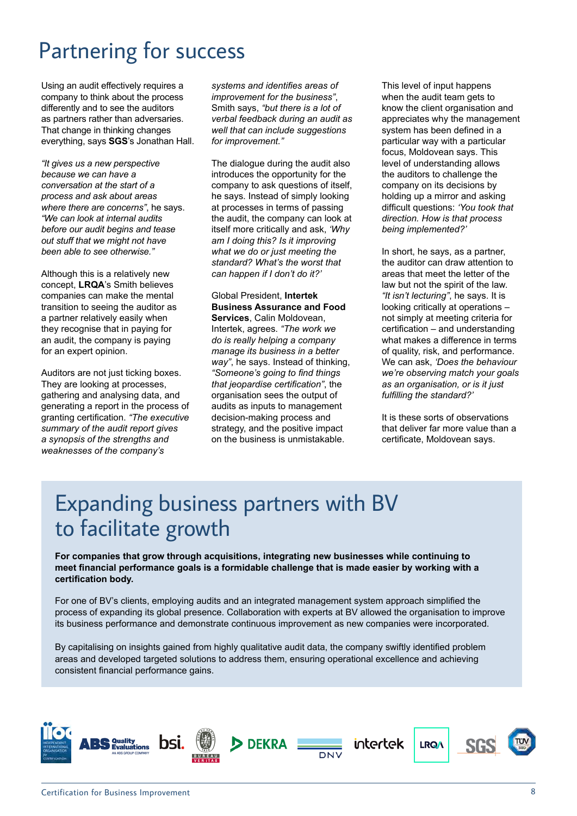## Partnering for success

Using an audit effectively requires a company to think about the process differently and to see the auditors as partners rather than adversaries. That change in thinking changes everything, says **SGS**'s Jonathan Hall.

*"It gives us a new perspective because we can have a conversation at the start of a process and ask about areas where there are concerns"*, he says. *"We can look at internal audits before our audit begins and tease out stuff that we might not have been able to see otherwise."*

Although this is a relatively new concept, **LRQA**'s Smith believes companies can make the mental transition to seeing the auditor as a partner relatively easily when they recognise that in paying for an audit, the company is paying for an expert opinion.

Auditors are not just ticking boxes. They are looking at processes, gathering and analysing data, and generating a report in the process of granting certification. *"The executive summary of the audit report gives a synopsis of the strengths and weaknesses of the company's* 

*systems and identifies areas of improvement for the business"*, Smith says, *"but there is a lot of verbal feedback during an audit as well that can include suggestions for improvement."*

The dialogue during the audit also introduces the opportunity for the company to ask questions of itself, he says. Instead of simply looking at processes in terms of passing the audit, the company can look at itself more critically and ask, *'Why am I doing this? Is it improving what we do or just meeting the standard? What's the worst that can happen if I don't do it?'*

Global President, **Intertek Business Assurance and Food Services**, Calin Moldovean, Intertek, agrees. *"The work we do is really helping a company manage its business in a better way"*, he says. Instead of thinking, *"Someone's going to find things* 

*that jeopardise certification"*, the organisation sees the output of audits as inputs to management decision-making process and strategy, and the positive impact on the business is unmistakable. This level of input happens when the audit team gets to know the client organisation and appreciates why the management system has been defined in a particular way with a particular focus, Moldovean says. This level of understanding allows the auditors to challenge the company on its decisions by holding up a mirror and asking difficult questions: *'You took that direction. How is that process being implemented?'*

In short, he says, as a partner, the auditor can draw attention to areas that meet the letter of the law but not the spirit of the law. *"It isn't lecturing"*, he says. It is looking critically at operations – not simply at meeting criteria for certification – and understanding what makes a difference in terms of quality, risk, and performance. We can ask, *'Does the behaviour we're observing match your goals as an organisation, or is it just fulfilling the standard?'*

It is these sorts of observations that deliver far more value than a certificate, Moldovean says.

## Expanding business partners with BV to facilitate growth

**For companies that grow through acquisitions, integrating new businesses while continuing to meet financial performance goals is a formidable challenge that is made easier by working with a certification body.**

For one of BV's clients, employing audits and an integrated management system approach simplified the process of expanding its global presence. Collaboration with experts at BV allowed the organisation to improve its business performance and demonstrate continuous improvement as new companies were incorporated.

By capitalising on insights gained from highly qualitative audit data, the company swiftly identified problem areas and developed targeted solutions to address them, ensuring operational excellence and achieving consistent financial performance gains.

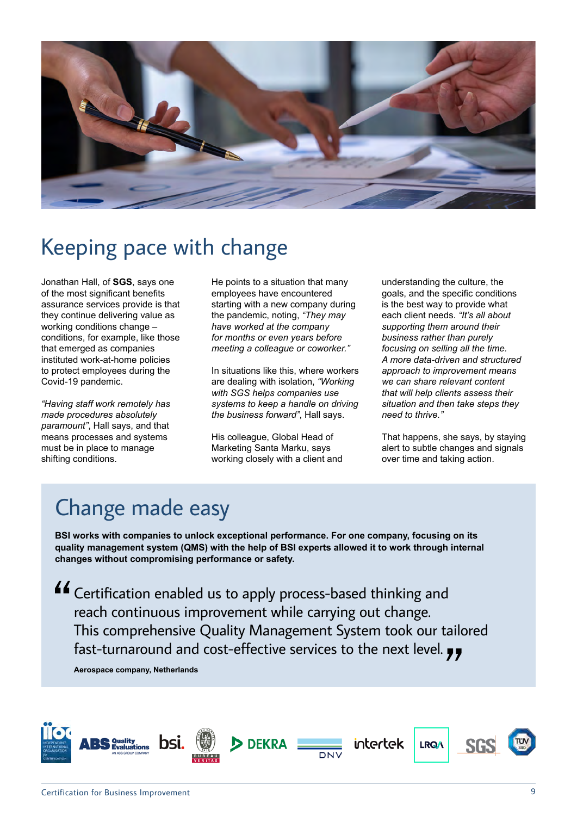

## Keeping pace with change

Jonathan Hall, of **SGS**, says one of the most significant benefits assurance services provide is that they continue delivering value as working conditions change – conditions, for example, like those that emerged as companies instituted work-at-home policies to protect employees during the Covid-19 pandemic.

*"Having staff work remotely has made procedures absolutely paramount"*, Hall says, and that means processes and systems must be in place to manage shifting conditions.

He points to a situation that many employees have encountered starting with a new company during the pandemic, noting, *"They may have worked at the company for months or even years before meeting a colleague or coworker."*

In situations like this, where workers are dealing with isolation, *"Working with SGS helps companies use systems to keep a handle on driving the business forward"*, Hall says.

His colleague, Global Head of Marketing Santa Marku, says working closely with a client and understanding the culture, the goals, and the specific conditions is the best way to provide what each client needs. *"It's all about supporting them around their business rather than purely focusing on selling all the time. A more data-driven and structured approach to improvement means we can share relevant content that will help clients assess their situation and then take steps they need to thrive."*

That happens, she says, by staying alert to subtle changes and signals over time and taking action.

# Change made easy

**BSI works with companies to unlock exceptional performance. For one company, focusing on its quality management system (QMS) with the help of BSI experts allowed it to work through internal changes without compromising performance or safety.**

Certification enabled us to apply process-based thinking and reach continuous improvement while carrying out change. This comprehensive Quality Management System took our tailored fast-turnaround and cost-effective services to the next level.  $\bullet\bullet$ 

**Aerospace company, Netherlands**